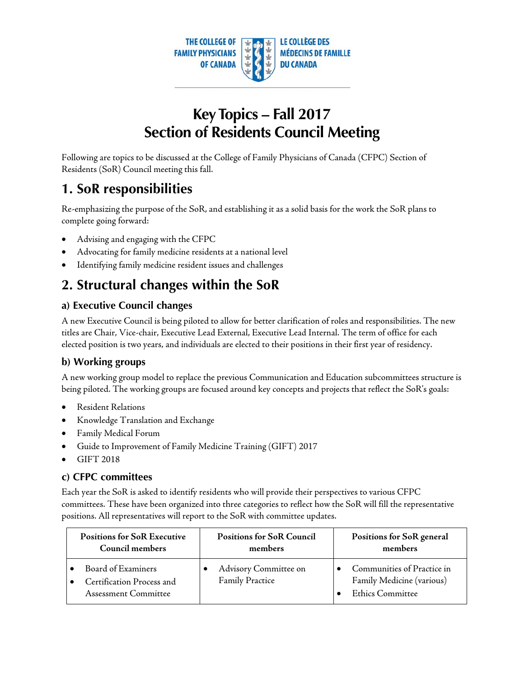

# **Key Topics – Fall 2017 Section of Residents Council Meeting**

Following are topics to be discussed at the College of Family Physicians of Canada (CFPC) Section of Residents (SoR) Council meeting this fall.

### **1. SoR responsibilities**

Re-emphasizing the purpose of the SoR, and establishing it as a solid basis for the work the SoR plans to complete going forward:

- Advising and engaging with the CFPC
- Advocating for family medicine residents at a national level
- Identifying family medicine resident issues and challenges

## **2. Structural changes within the SoR**

### **a) Executive Council changes**

A new Executive Council is being piloted to allow for better clarification of roles and responsibilities. The new titles are Chair, Vice-chair, Executive Lead External, Executive Lead Internal. The term of office for each elected position is two years, and individuals are elected to their positions in their first year of residency.

### **b) Working groups**

A new working group model to replace the previous Communication and Education subcommittees structure is being piloted. The working groups are focused around key concepts and projects that reflect the SoR's goals:

- Resident Relations
- Knowledge Translation and Exchange
- Family Medical Forum
- Guide to Improvement of Family Medicine Training (GIFT) 2017
- GIFT 2018

#### **c) CFPC committees**

Each year the SoR is asked to identify residents who will provide their perspectives to various CFPC committees. These have been organized into three categories to reflect how the SoR will fill the representative positions. All representatives will report to the SoR with committee updates.

| <b>Positions for SoR Executive</b>                                      | <b>Positions for SoR Council</b>                | Positions for SoR general                                                   |  |
|-------------------------------------------------------------------------|-------------------------------------------------|-----------------------------------------------------------------------------|--|
| Council members                                                         | members                                         | members                                                                     |  |
| Board of Examiners<br>Certification Process and<br>Assessment Committee | Advisory Committee on<br><b>Family Practice</b> | Communities of Practice in<br>Family Medicine (various)<br>Ethics Committee |  |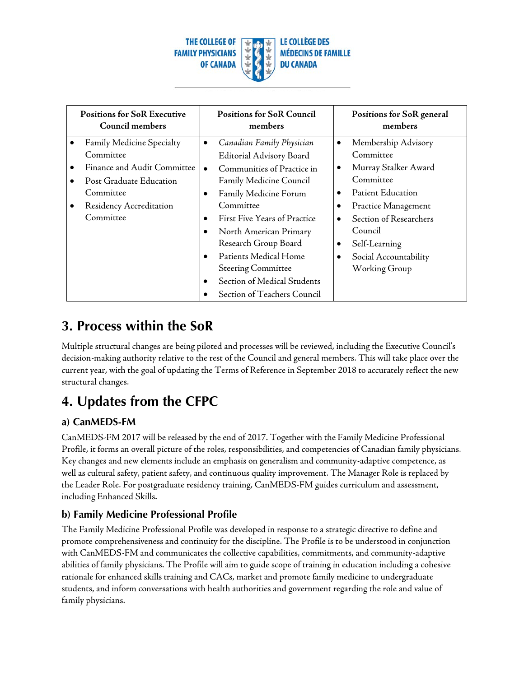

| <b>Positions for SoR Executive</b><br>Council members |                             | <b>Positions for SoR Council</b><br>members |                              | Positions for SoR general<br>members |                          |
|-------------------------------------------------------|-----------------------------|---------------------------------------------|------------------------------|--------------------------------------|--------------------------|
| $\bullet$                                             | Family Medicine Specialty   | $\bullet$                                   | Canadian Family Physician    | $\bullet$                            | Membership Advisory      |
|                                                       | Committee                   |                                             | Editorial Advisory Board     |                                      | Committee                |
| ٠                                                     | Finance and Audit Committee | $\bullet$                                   | Communities of Practice in   | $\bullet$                            | Murray Stalker Award     |
| $\bullet$                                             | Post Graduate Education     |                                             | Family Medicine Council      |                                      | Committee                |
|                                                       | Committee                   | ٠                                           | Family Medicine Forum        | $\bullet$                            | <b>Patient Education</b> |
| $\bullet$                                             | Residency Accreditation     |                                             | Committee                    |                                      | Practice Management      |
|                                                       | Committee                   | $\bullet$                                   | First Five Years of Practice | $\bullet$                            | Section of Researchers   |
|                                                       |                             | $\bullet$                                   | North American Primary       |                                      | Council                  |
|                                                       |                             |                                             | Research Group Board         | $\bullet$                            | Self-Learning            |
|                                                       |                             | $\bullet$                                   | Patients Medical Home        | $\bullet$                            | Social Accountability    |
|                                                       |                             |                                             | <b>Steering Committee</b>    |                                      | Working Group            |
|                                                       |                             | $\bullet$                                   | Section of Medical Students  |                                      |                          |
|                                                       |                             |                                             | Section of Teachers Council  |                                      |                          |

### **3. Process within the SoR**

Multiple structural changes are being piloted and processes will be reviewed, including the Executive Council's decision-making authority relative to the rest of the Council and general members. This will take place over the current year, with the goal of updating the Terms of Reference in September 2018 to accurately reflect the new structural changes.

## **4. Updates from the CFPC**

### **a) CanMEDS-FM**

CanMEDS-FM 2017 will be released by the end of 2017. Together with the Family Medicine Professional Profile, it forms an overall picture of the roles, responsibilities, and competencies of Canadian family physicians. Key changes and new elements include an emphasis on generalism and community-adaptive competence, as well as cultural safety, patient safety, and continuous quality improvement. The Manager Role is replaced by the Leader Role. For postgraduate residency training, CanMEDS-FM guides curriculum and assessment, including Enhanced Skills.

### **b) Family Medicine Professional Profile**

The Family Medicine Professional Profile was developed in response to a strategic directive to define and promote comprehensiveness and continuity for the discipline. The Profile is to be understood in conjunction with CanMEDS-FM and communicates the collective capabilities, commitments, and community-adaptive abilities of family physicians. The Profile will aim to guide scope of training in education including a cohesive rationale for enhanced skills training and CACs, market and promote family medicine to undergraduate students, and inform conversations with health authorities and government regarding the role and value of family physicians.